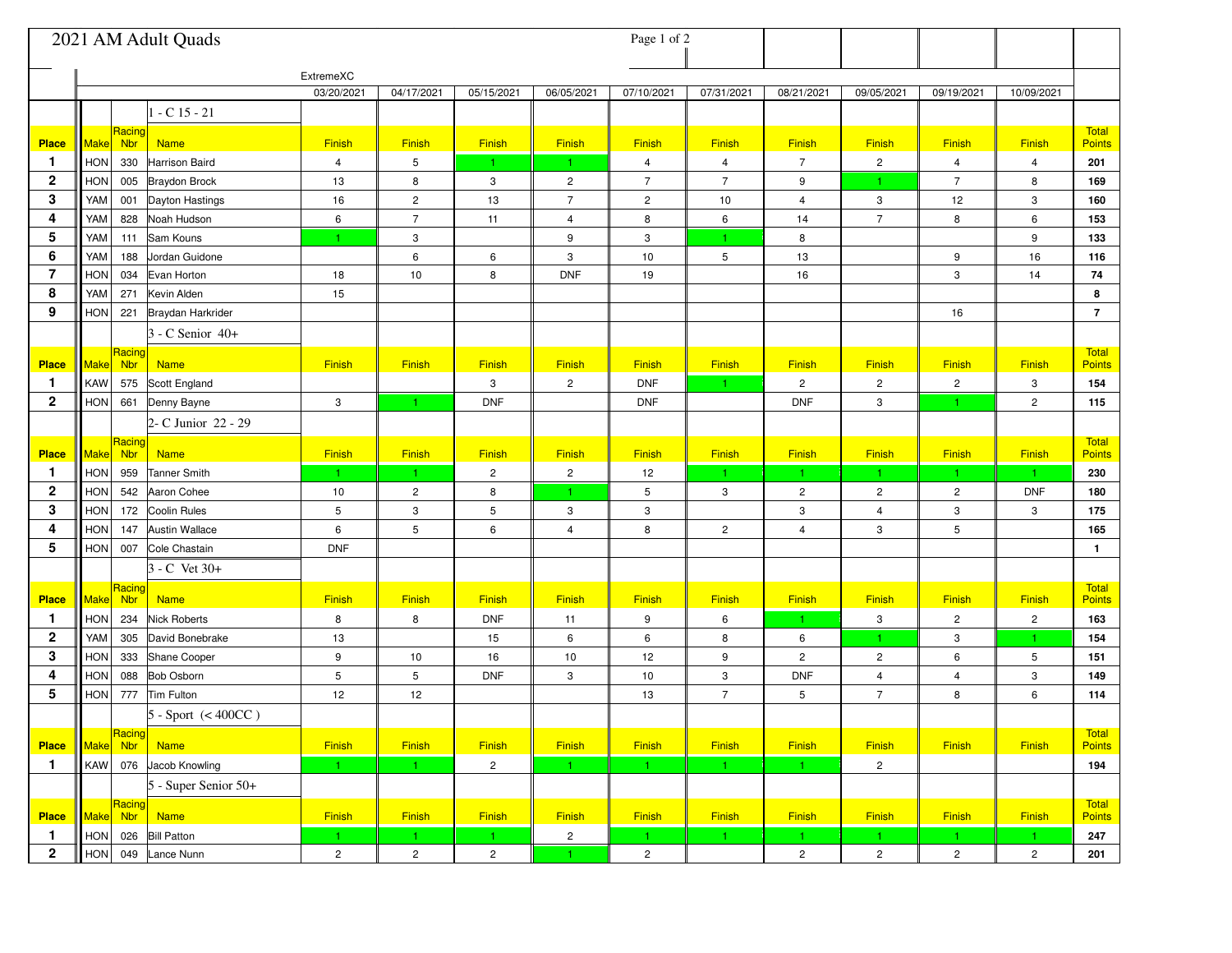|                | 2021 AM Adult Quads                                       |                |                |                |                           | Page 1 of 2    |                  |                |                |                         |                |                               |
|----------------|-----------------------------------------------------------|----------------|----------------|----------------|---------------------------|----------------|------------------|----------------|----------------|-------------------------|----------------|-------------------------------|
|                |                                                           | ExtremeXC      |                |                |                           |                |                  |                |                |                         |                |                               |
|                |                                                           | 03/20/2021     | 04/17/2021     | 05/15/2021     | 06/05/2021                | 07/10/2021     | 07/31/2021       | 08/21/2021     | 09/05/2021     | 09/19/2021              | 10/09/2021     |                               |
|                | $-C15 - 21$                                               |                |                |                |                           |                |                  |                |                |                         |                |                               |
| <b>Place</b>   | Racing<br>Make<br><b>Nbr</b><br><b>Name</b>               | Finish         | Finish         | <b>Finish</b>  | Finish                    | Finish         | Finish           | Finish         | Finish         | Finish                  | Finish         | Total<br>Points               |
| $\mathbf{1}$   | HON<br>330<br>Harrison Baird                              | $\overline{4}$ | 5              | $\mathbf{1}$   | $\mathbf{1}$              | 4              | $\overline{4}$   | $\overline{7}$ | $\overline{c}$ | $\overline{\mathbf{4}}$ | $\overline{4}$ | 201                           |
| $\mathbf 2$    | <b>HON</b><br>005 Braydon Brock                           | 13             | 8              | 3              | $\overline{c}$            | $\overline{7}$ | $\overline{7}$   | 9              | $\mathbf{1}$   | $\sqrt{7}$              | 8              | 169                           |
| 3              | YAM<br>001 Dayton Hastings                                | 16             | $\overline{c}$ | 13             | $\overline{7}$            | $\overline{c}$ | $10$             | $\overline{4}$ | 3              | 12                      | 3              | 160                           |
| 4              | YAM<br>828<br>Noah Hudson                                 | 6              | $\overline{7}$ | 11             | 4                         | 8              | $\boldsymbol{6}$ | 14             | $\overline{7}$ | 8                       | 6              | 153                           |
| 5              | Sam Kouns<br>YAM<br>111                                   | 1.             | 3              |                | 9                         | $\,$ 3         | 1.               | 8              |                |                         | 9              | 133                           |
| 6              | YAM<br>Jordan Guidone<br>188                              |                | 6              | 6              | $\ensuremath{\mathsf{3}}$ | 10             | $\mathbf 5$      | 13             |                | 9                       | 16             | 116                           |
| 7              | <b>HON</b><br>Evan Horton<br>034                          | 18             | 10             | 8              | <b>DNF</b>                | 19             |                  | 16             |                | 3                       | 14             | 74                            |
| 8              | Kevin Alden<br>YAM<br>271                                 | 15             |                |                |                           |                |                  |                |                |                         |                | 8                             |
| 9              | HON<br>221 Braydan Harkrider                              |                |                |                |                           |                |                  |                |                | 16                      |                | $\overline{7}$                |
|                | 3 - C Senior 40+                                          |                |                |                |                           |                |                  |                |                |                         |                |                               |
| <b>Place</b>   | Racing<br>$\left\ $ Make $\right\ $<br>Nbr<br><b>Name</b> | Finish         | <b>Finish</b>  | <b>Finish</b>  | Finish                    | <b>Finish</b>  | Finish           | Finish         | <b>Finish</b>  | <b>Finish</b>           | <b>Finish</b>  | <b>Total</b><br><b>Points</b> |
| $\mathbf{1}$   | <b>KAW</b><br>575<br>Scott England                        |                |                | 3              | $\overline{c}$            | <b>DNF</b>     | $\mathbf{1}$     | $\overline{2}$ | $\overline{c}$ | $\overline{c}$          | 3              | 154                           |
| $\mathbf{2}$   | <b>HON</b><br>Denny Bayne<br>661                          | $\mathbf{3}$   | $\mathbf{1}$   | <b>DNF</b>     |                           | <b>DNF</b>     |                  | <b>DNF</b>     | 3              | $\mathbf{1}$            | $\overline{2}$ | 115                           |
|                | 2- C Junior 22 - 29                                       |                |                |                |                           |                |                  |                |                |                         |                |                               |
|                | Racing                                                    |                |                |                |                           |                |                  |                |                |                         |                | <b>Total</b>                  |
| <b>Place</b>   | Make<br><b>Nbr</b><br><b>Name</b>                         | Finish         | <b>Finish</b>  | Finish         | Finish                    | <b>Finish</b>  | Finish           | Finish         | Finish         | Finish                  | Finish         | <b>Points</b>                 |
| $\mathbf{1}$   | <b>Tanner Smith</b><br><b>HON</b><br>959                  | $\mathbf{1}$   | 1.             | $\overline{c}$ | $\overline{c}$            | 12             | -1               | 1.             | 1.             | $\mathbf{1}$            | 1              | 230                           |
| $\overline{2}$ | <b>HON</b><br>542<br>Aaron Cohee                          | 10             | $\overline{c}$ | 8              |                           | 5              | 3                | $\overline{2}$ | $\overline{c}$ | $\overline{c}$          | <b>DNF</b>     | 180                           |
| 3              | <b>HON</b><br>172<br>Coolin Rules                         | $\overline{5}$ | 3              | 5              | 3                         | 3              |                  | 3              | $\overline{4}$ | 3                       | 3              | 175                           |
| 4              | Austin Wallace<br><b>HON</b><br>147                       | 6              | 5              | 6              | $\overline{4}$            | 8              | $\overline{2}$   | $\overline{4}$ | 3              | 5                       |                | 165                           |
| 5              | HON<br>Cole Chastain<br>007                               | <b>DNF</b>     |                |                |                           |                |                  |                |                |                         |                | $\mathbf{1}$                  |
|                | 3 - C Vet 30+                                             |                |                |                |                           |                |                  |                |                |                         |                |                               |
| <b>Place</b>   | Racing<br>Make Nbr<br><b>Name</b>                         | <b>Finish</b>  | <b>Finish</b>  | <b>Finish</b>  | Finish                    | <b>Finish</b>  | Finish           | Finish         | Finish         | Finish                  | Finish         | <b>Total</b><br><b>Points</b> |
| 1              | <b>HON</b><br><b>Nick Roberts</b><br>234                  | 8              | 8              | <b>DNF</b>     | 11                        | 9              | $\,6\,$          | 1.             | 3              | $\mathsf{2}\,$          | $\mathbf{2}$   | 163                           |
| $\mathbf 2$    | YAM<br>305<br>David Bonebrake                             | 13             |                | 15             | 6                         | 6              | 8                | 6              | 1.             | 3                       | $\mathbf{1}$   | 154                           |
| 3              | <b>HON</b><br>333<br>Shane Cooper                         | 9              | 10             | 16             | 10                        | 12             | 9                | $\overline{c}$ | $\overline{c}$ | 6                       | 5              | 151                           |
| 4              | <b>HON</b><br><b>Bob Osborn</b><br>088                    | $\overline{5}$ | 5              | <b>DNF</b>     | 3                         | 10             | 3                | <b>DNF</b>     | 4              | 4                       | 3              | 149                           |
| 5              | HON<br>777<br>Tim Fulton                                  | 12             | 12             |                |                           | 13             | $\overline{7}$   | 5              | $\overline{7}$ | 8                       | 6              | 114                           |
|                | $5 - Sport$ (<400CC)                                      |                |                |                |                           |                |                  |                |                |                         |                |                               |
| <b>Place</b>   | Racing<br>Make Nbr<br><b>Name</b>                         | Finish         | Finish         | Finish         | Finish                    | <b>Finish</b>  | Finish           | Finish         | Finish         | Finish                  | Finish         | Total<br><b>Points</b>        |
| 1              | $ $ KAW $ $<br>076 Jacob Knowling                         | $\mathbf{1}$   | $-1$           | $\overline{c}$ | $\mathbf{1}$              | $\mathbf{1}$   | $\mathbf{1}$     | $\vert$ 1      | $\mathbf{2}$   |                         |                | 194                           |
|                |                                                           |                |                |                |                           |                |                  |                |                |                         |                |                               |
|                | 5 - Super Senior 50+                                      |                |                |                |                           |                |                  |                |                |                         |                |                               |
| <b>Place</b>   | Racing<br>Make Nbr<br><b>Name</b>                         | Finish         | Finish         | Finish         | Finish                    | Finish         | Finish           | Finish         | Finish         | Finish                  | Finish         | <b>Total</b><br><b>Points</b> |
| 1              | $ $ HON $ $<br>026 Bill Patton                            | $\mathbf{1}$   | $\mathbf{1}$   | $\vert$ 1      | $\overline{a}$            | $\mathbf{1}$   | $\mathbf{1}$     | 1.             | $\mathbf{1}$   | $\vert$ 1               | 1              | 247                           |
| $\mathbf 2$    | HON<br>049<br>Lance Nunn                                  | $\overline{c}$ | $\overline{c}$ | $\overline{c}$ |                           | $\overline{2}$ |                  | $\mathbf{2}$   | $\overline{2}$ | $\overline{c}$          | $\overline{2}$ | 201                           |